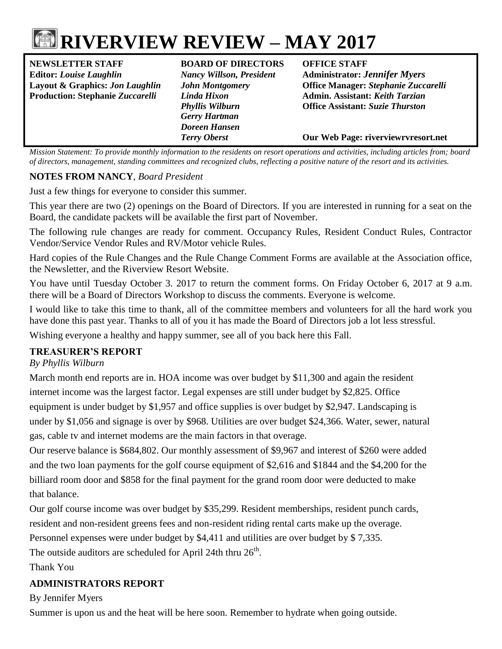# **RIVERVIEW REVIEW – MAY 2017**

**NEWSLETTER STAFF BOARD OF DIRECTORS OFFICE STAFF Editor:** *Louise Laughlin Nancy Willson, President* **Administrator:** *Jennifer Myers*

*Gerry Hartman Doreen Hansen*

**Layout & Graphics:** *Jon Laughlin John Montgomery* **Office Manager:** *Stephanie Zuccarelli* **Production: Stephanie** *Zuccarelli Linda Hixon* **Admin. Assistant:** *Keith Tarzian Phyllis Wilburn* **Office Assistant:** *Suzie Thurston*

*Terry Oberst* **Our Web Page: riverviewrvresort.net**

*Mission Statement: To provide monthly information to the residents on resort operations and activities, including articles from; board of directors, management, standing committees and recognized clubs, reflecting a positive nature of the resort and its activities.*

#### **NOTES FROM NANCY***, Board President*

Just a few things for everyone to consider this summer.

This year there are two (2) openings on the Board of Directors. If you are interested in running for a seat on the Board, the candidate packets will be available the first part of November.

The following rule changes are ready for comment. Occupancy Rules, Resident Conduct Rules, Contractor Vendor/Service Vendor Rules and RV/Motor vehicle Rules.

Hard copies of the Rule Changes and the Rule Change Comment Forms are available at the Association office, the Newsletter, and the Riverview Resort Website.

You have until Tuesday October 3. 2017 to return the comment forms. On Friday October 6, 2017 at 9 a.m. there will be a Board of Directors Workshop to discuss the comments. Everyone is welcome.

I would like to take this time to thank, all of the committee members and volunteers for all the hard work you have done this past year. Thanks to all of you it has made the Board of Directors job a lot less stressful.

Wishing everyone a healthy and happy summer, see all of you back here this Fall.

#### **TREASURER'S REPORT**

*By Phyllis Wilburn*

March month end reports are in. HOA income was over budget by \$11,300 and again the resident internet income was the largest factor. Legal expenses are still under budget by \$2,825. Office equipment is under budget by \$1,957 and office supplies is over budget by \$2,947. Landscaping is under by \$1,056 and signage is over by \$968. Utilities are over budget \$24,366. Water, sewer, natural gas, cable tv and internet modems are the main factors in that overage.

Our reserve balance is \$684,802. Our monthly assessment of \$9,967 and interest of \$260 were added and the two loan payments for the golf course equipment of \$2,616 and \$1844 and the \$4,200 for the billiard room door and \$858 for the final payment for the grand room door were deducted to make that balance.

Our golf course income was over budget by \$35,299. Resident memberships, resident punch cards, resident and non-resident greens fees and non-resident riding rental carts make up the overage.

Personnel expenses were under budget by \$4,411 and utilities are over budget by \$ 7,335.

The outside auditors are scheduled for April 24th thru  $26<sup>th</sup>$ .

Thank You

#### **ADMINISTRATORS REPORT**

By Jennifer Myers

Summer is upon us and the heat will be here soon. Remember to hydrate when going outside.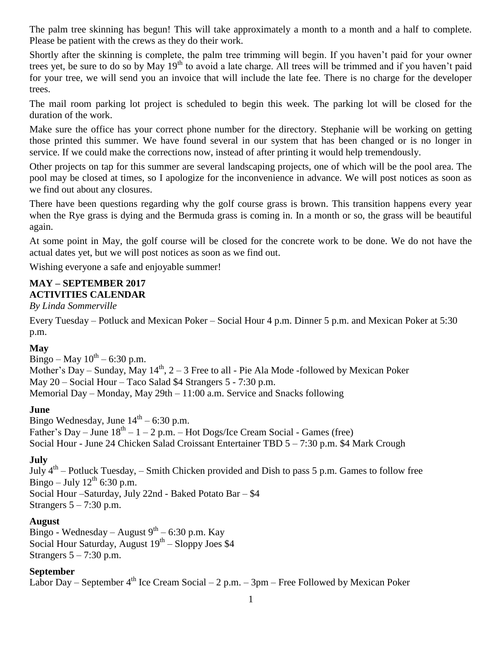The palm tree skinning has begun! This will take approximately a month to a month and a half to complete. Please be patient with the crews as they do their work.

Shortly after the skinning is complete, the palm tree trimming will begin. If you haven't paid for your owner trees yet, be sure to do so by May  $19<sup>th</sup>$  to avoid a late charge. All trees will be trimmed and if you haven't paid for your tree, we will send you an invoice that will include the late fee. There is no charge for the developer trees.

The mail room parking lot project is scheduled to begin this week. The parking lot will be closed for the duration of the work.

Make sure the office has your correct phone number for the directory. Stephanie will be working on getting those printed this summer. We have found several in our system that has been changed or is no longer in service. If we could make the corrections now, instead of after printing it would help tremendously.

Other projects on tap for this summer are several landscaping projects, one of which will be the pool area. The pool may be closed at times, so I apologize for the inconvenience in advance. We will post notices as soon as we find out about any closures.

There have been questions regarding why the golf course grass is brown. This transition happens every year when the Rye grass is dying and the Bermuda grass is coming in. In a month or so, the grass will be beautiful again.

At some point in May, the golf course will be closed for the concrete work to be done. We do not have the actual dates yet, but we will post notices as soon as we find out.

Wishing everyone a safe and enjoyable summer!

#### **MAY – SEPTEMBER 2017 ACTIVITIES CALENDAR**

*By Linda Sommerville*

Every Tuesday – Potluck and Mexican Poker – Social Hour 4 p.m. Dinner 5 p.m. and Mexican Poker at 5:30 p.m.

#### **May**

Bingo – May  $10^{th}$  – 6:30 p.m. Mother's Day – Sunday, May  $14<sup>th</sup>$ ,  $2 - 3$  Free to all - Pie Ala Mode -followed by Mexican Poker May 20 – Social Hour – Taco Salad \$4 Strangers 5 - 7:30 p.m. Memorial Day – Monday, May 29th – 11:00 a.m. Service and Snacks following

#### **June**

Bingo Wednesday, June  $14<sup>th</sup> - 6:30$  p.m. Father's Day – June  $18^{th} - 1 - 2$  p.m. – Hot Dogs/Ice Cream Social - Games (free) Social Hour - June 24 Chicken Salad Croissant Entertainer TBD 5 – 7:30 p.m. \$4 Mark Crough

#### **July**

July  $4<sup>th</sup>$  – Potluck Tuesday, – Smith Chicken provided and Dish to pass 5 p.m. Games to follow free Bingo – July  $12^{th}$  6:30 p.m. Social Hour –Saturday, July 22nd - Baked Potato Bar – \$4 Strangers  $5 - 7:30$  p.m.

#### **August**

Bingo - Wednesday – August  $9^{th}$  – 6:30 p.m. Kay Social Hour Saturday, August 19<sup>th</sup> – Sloppy Joes \$4 Strangers  $5 - 7:30$  p.m.

#### **September**

Labor Day – September  $4<sup>th</sup>$  Ice Cream Social – 2 p.m. – 3pm – Free Followed by Mexican Poker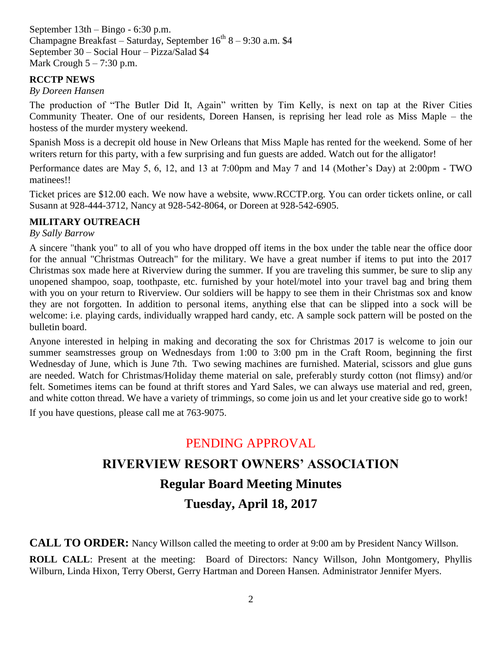September 13th – Bingo - 6:30 p.m. Champagne Breakfast – Saturday, September  $16^{th}$  8 – 9:30 a.m. \$4 September 30 – Social Hour – Pizza/Salad \$4 Mark Crough  $5 - 7:30$  p.m.

#### **RCCTP NEWS**

#### *By Doreen Hansen*

The production of "The Butler Did It, Again" written by Tim Kelly, is next on tap at the River Cities Community Theater. One of our residents, Doreen Hansen, is reprising her lead role as Miss Maple – the hostess of the murder mystery weekend.

Spanish Moss is a decrepit old house in New Orleans that Miss Maple has rented for the weekend. Some of her writers return for this party, with a few surprising and fun guests are added. Watch out for the alligator!

Performance dates are May 5, 6, 12, and 13 at 7:00pm and May 7 and 14 (Mother's Day) at 2:00pm - TWO matinees!!

Ticket prices are \$12.00 each. We now have a website, [www.RCCTP.org.](http://www.rcctp.org/) You can order tickets online, or call Susann at 928-444-3712, Nancy at 928-542-8064, or Doreen at 928-542-6905.

#### **MILITARY OUTREACH**

#### *By Sally Barrow*

A sincere "thank you" to all of you who have dropped off items in the box under the table near the office door for the annual "Christmas Outreach" for the military. We have a great number if items to put into the 2017 Christmas sox made here at Riverview during the summer. If you are traveling this summer, be sure to slip any unopened shampoo, soap, toothpaste, etc. furnished by your hotel/motel into your travel bag and bring them with you on your return to Riverview. Our soldiers will be happy to see them in their Christmas sox and know they are not forgotten. In addition to personal items, anything else that can be slipped into a sock will be welcome: i.e. playing cards, individually wrapped hard candy, etc. A sample sock pattern will be posted on the bulletin board.

Anyone interested in helping in making and decorating the sox for Christmas 2017 is welcome to join our summer seamstresses group on Wednesdays from 1:00 to 3:00 pm in the Craft Room, beginning the first Wednesday of June, which is June 7th. Two sewing machines are furnished. Material, scissors and glue guns are needed. Watch for Christmas/Holiday theme material on sale, preferably sturdy cotton (not flimsy) and/or felt. Sometimes items can be found at thrift stores and Yard Sales, we can always use material and red, green, and white cotton thread. We have a variety of trimmings, so come join us and let your creative side go to work!

If you have questions, please call me at 763-9075.

### PENDING APPROVAL

## **RIVERVIEW RESORT OWNERS' ASSOCIATION Regular Board Meeting Minutes Tuesday, April 18, 2017**

**CALL TO ORDER:** Nancy Willson called the meeting to order at 9:00 am by President Nancy Willson.

**ROLL CALL**: Present at the meeting: Board of Directors: Nancy Willson, John Montgomery, Phyllis Wilburn, Linda Hixon, Terry Oberst, Gerry Hartman and Doreen Hansen. Administrator Jennifer Myers.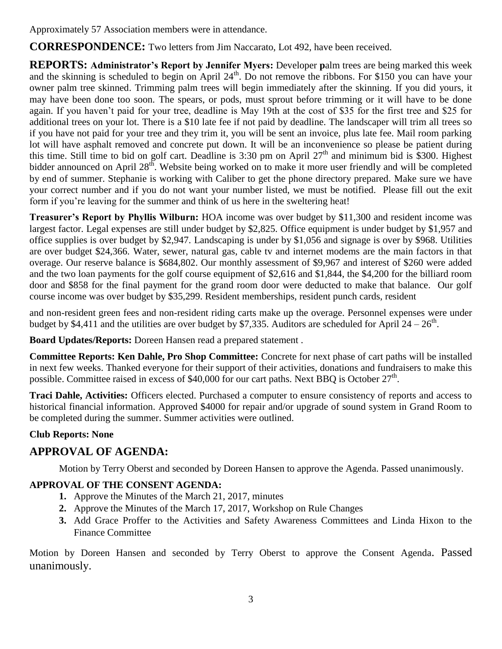Approximately 57 Association members were in attendance.

**CORRESPONDENCE:** Two letters from Jim Naccarato, Lot 492, have been received.

**REPORTS: Administrator's Report by Jennifer Myers:** Developer **p**alm trees are being marked this week and the skinning is scheduled to begin on April  $24<sup>th</sup>$ . Do not remove the ribbons. For \$150 you can have your owner palm tree skinned. Trimming palm trees will begin immediately after the skinning. If you did yours, it may have been done too soon. The spears, or pods, must sprout before trimming or it will have to be done again. If you haven't paid for your tree, deadline is May 19th at the cost of \$35 for the first tree and \$25 for additional trees on your lot. There is a \$10 late fee if not paid by deadline. The landscaper will trim all trees so if you have not paid for your tree and they trim it, you will be sent an invoice, plus late fee. Mail room parking lot will have asphalt removed and concrete put down. It will be an inconvenience so please be patient during this time. Still time to bid on golf cart. Deadline is 3:30 pm on April  $27<sup>th</sup>$  and minimum bid is \$300. Highest bidder announced on April  $28^{th}$ . Website being worked on to make it more user friendly and will be completed by end of summer. Stephanie is working with Caliber to get the phone directory prepared. Make sure we have your correct number and if you do not want your number listed, we must be notified. Please fill out the exit form if you're leaving for the summer and think of us here in the sweltering heat!

**Treasurer's Report by Phyllis Wilburn:** HOA income was over budget by \$11,300 and resident income was largest factor. Legal expenses are still under budget by \$2,825. Office equipment is under budget by \$1,957 and office supplies is over budget by \$2,947. Landscaping is under by \$1,056 and signage is over by \$968. Utilities are over budget \$24,366. Water, sewer, natural gas, cable tv and internet modems are the main factors in that overage. Our reserve balance is \$684,802. Our monthly assessment of \$9,967 and interest of \$260 were added and the two loan payments for the golf course equipment of \$2,616 and \$1,844, the \$4,200 for the billiard room door and \$858 for the final payment for the grand room door were deducted to make that balance. Our golf course income was over budget by \$35,299. Resident memberships, resident punch cards, resident

and non-resident green fees and non-resident riding carts make up the overage. Personnel expenses were under budget by \$4,411 and the utilities are over budget by \$7,335. Auditors are scheduled for April  $24 - 26$ <sup>th</sup>.

**Board Updates/Reports:** Doreen Hansen read a prepared statement .

**Committee Reports: Ken Dahle, Pro Shop Committee:** Concrete for next phase of cart paths will be installed in next few weeks. Thanked everyone for their support of their activities, donations and fundraisers to make this possible. Committee raised in excess of \$40,000 for our cart paths. Next BBQ is October 27<sup>th</sup>.

**Traci Dahle, Activities:** Officers elected. Purchased a computer to ensure consistency of reports and access to historical financial information. Approved \$4000 for repair and/or upgrade of sound system in Grand Room to be completed during the summer. Summer activities were outlined.

#### **Club Reports: None**

#### **APPROVAL OF AGENDA:**

Motion by Terry Oberst and seconded by Doreen Hansen to approve the Agenda. Passed unanimously.

#### **APPROVAL OF THE CONSENT AGENDA:**

- **1.** Approve the Minutes of the March 21, 2017, minutes
- **2.** Approve the Minutes of the March 17, 2017, Workshop on Rule Changes
- **3.** Add Grace Proffer to the Activities and Safety Awareness Committees and Linda Hixon to the Finance Committee

Motion by Doreen Hansen and seconded by Terry Oberst to approve the Consent Agenda. Passed unanimously.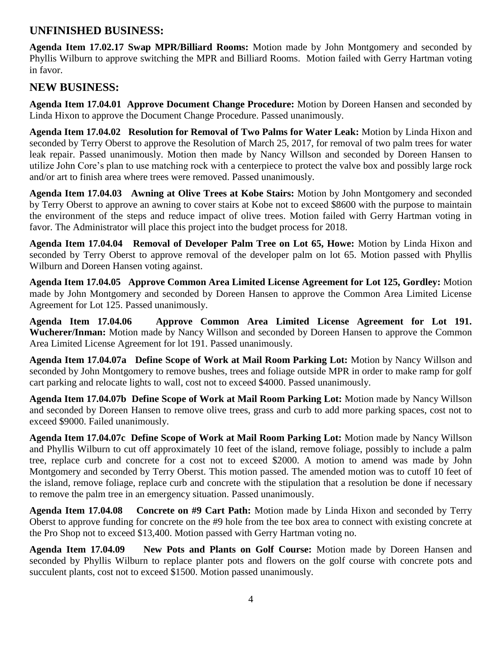#### **UNFINISHED BUSINESS:**

**Agenda Item 17.02.17 Swap MPR/Billiard Rooms:** Motion made by John Montgomery and seconded by Phyllis Wilburn to approve switching the MPR and Billiard Rooms. Motion failed with Gerry Hartman voting in favor.

#### **NEW BUSINESS:**

**Agenda Item 17.04.01 Approve Document Change Procedure:** Motion by Doreen Hansen and seconded by Linda Hixon to approve the Document Change Procedure. Passed unanimously.

**Agenda Item 17.04.02 Resolution for Removal of Two Palms for Water Leak:** Motion by Linda Hixon and seconded by Terry Oberst to approve the Resolution of March 25, 2017, for removal of two palm trees for water leak repair. Passed unanimously. Motion then made by Nancy Willson and seconded by Doreen Hansen to utilize John Core's plan to use matching rock with a centerpiece to protect the valve box and possibly large rock and/or art to finish area where trees were removed. Passed unanimously.

**Agenda Item 17.04.03 Awning at Olive Trees at Kobe Stairs:** Motion by John Montgomery and seconded by Terry Oberst to approve an awning to cover stairs at Kobe not to exceed \$8600 with the purpose to maintain the environment of the steps and reduce impact of olive trees. Motion failed with Gerry Hartman voting in favor. The Administrator will place this project into the budget process for 2018.

**Agenda Item 17.04.04 Removal of Developer Palm Tree on Lot 65, Howe:** Motion by Linda Hixon and seconded by Terry Oberst to approve removal of the developer palm on lot 65. Motion passed with Phyllis Wilburn and Doreen Hansen voting against.

**Agenda Item 17.04.05 Approve Common Area Limited License Agreement for Lot 125, Gordley:** Motion made by John Montgomery and seconded by Doreen Hansen to approve the Common Area Limited License Agreement for Lot 125. Passed unanimously.

**Agenda Item 17.04.06 Approve Common Area Limited License Agreement for Lot 191. Wucherer/Inman:** Motion made by Nancy Willson and seconded by Doreen Hansen to approve the Common Area Limited License Agreement for lot 191. Passed unanimously.

**Agenda Item 17.04.07a Define Scope of Work at Mail Room Parking Lot:** Motion by Nancy Willson and seconded by John Montgomery to remove bushes, trees and foliage outside MPR in order to make ramp for golf cart parking and relocate lights to wall, cost not to exceed \$4000. Passed unanimously.

**Agenda Item 17.04.07b Define Scope of Work at Mail Room Parking Lot:** Motion made by Nancy Willson and seconded by Doreen Hansen to remove olive trees, grass and curb to add more parking spaces, cost not to exceed \$9000. Failed unanimously.

**Agenda Item 17.04.07c Define Scope of Work at Mail Room Parking Lot:** Motion made by Nancy Willson and Phyllis Wilburn to cut off approximately 10 feet of the island, remove foliage, possibly to include a palm tree, replace curb and concrete for a cost not to exceed \$2000. A motion to amend was made by John Montgomery and seconded by Terry Oberst. This motion passed. The amended motion was to cutoff 10 feet of the island, remove foliage, replace curb and concrete with the stipulation that a resolution be done if necessary to remove the palm tree in an emergency situation. Passed unanimously.

**Agenda Item 17.04.08 Concrete on #9 Cart Path:** Motion made by Linda Hixon and seconded by Terry Oberst to approve funding for concrete on the #9 hole from the tee box area to connect with existing concrete at the Pro Shop not to exceed \$13,400. Motion passed with Gerry Hartman voting no.

**Agenda Item 17.04.09 New Pots and Plants on Golf Course:** Motion made by Doreen Hansen and seconded by Phyllis Wilburn to replace planter pots and flowers on the golf course with concrete pots and succulent plants, cost not to exceed \$1500. Motion passed unanimously.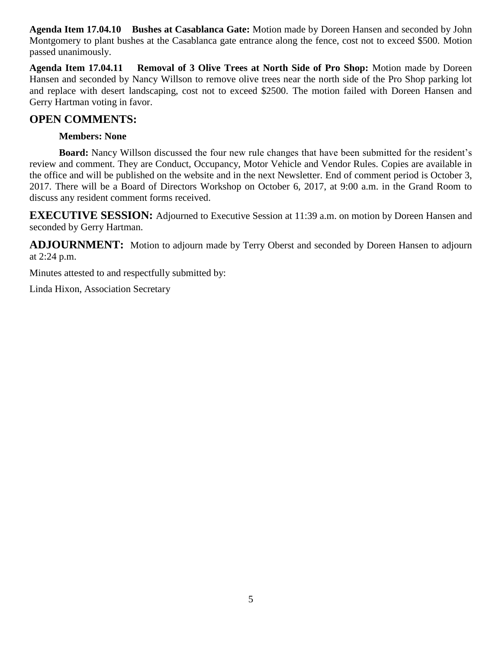**Agenda Item 17.04.10 Bushes at Casablanca Gate:** Motion made by Doreen Hansen and seconded by John Montgomery to plant bushes at the Casablanca gate entrance along the fence, cost not to exceed \$500. Motion passed unanimously.

**Agenda Item 17.04.11 Removal of 3 Olive Trees at North Side of Pro Shop:** Motion made by Doreen Hansen and seconded by Nancy Willson to remove olive trees near the north side of the Pro Shop parking lot and replace with desert landscaping, cost not to exceed \$2500. The motion failed with Doreen Hansen and Gerry Hartman voting in favor.

#### **OPEN COMMENTS:**

#### **Members: None**

**Board:** Nancy Willson discussed the four new rule changes that have been submitted for the resident's review and comment. They are Conduct, Occupancy, Motor Vehicle and Vendor Rules. Copies are available in the office and will be published on the website and in the next Newsletter. End of comment period is October 3, 2017. There will be a Board of Directors Workshop on October 6, 2017, at 9:00 a.m. in the Grand Room to discuss any resident comment forms received.

**EXECUTIVE SESSION:** Adjourned to Executive Session at 11:39 a.m. on motion by Doreen Hansen and seconded by Gerry Hartman.

**ADJOURNMENT:** Motion to adjourn made by Terry Oberst and seconded by Doreen Hansen to adjourn at 2:24 p.m.

Minutes attested to and respectfully submitted by:

Linda Hixon, Association Secretary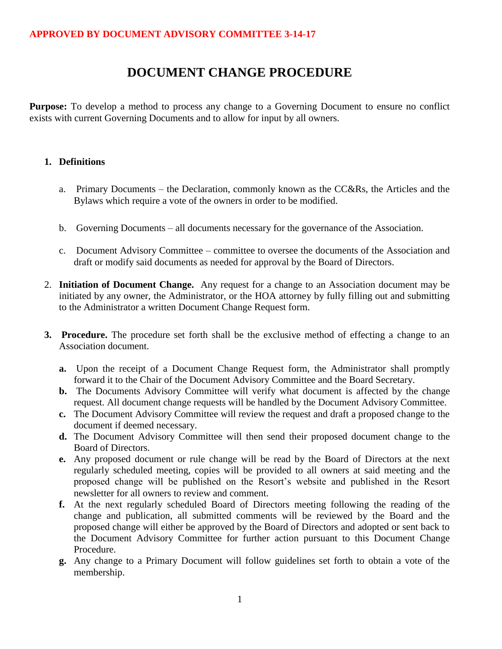#### **DOCUMENT CHANGE PROCEDURE**

**Purpose:** To develop a method to process any change to a Governing Document to ensure no conflict exists with current Governing Documents and to allow for input by all owners.

#### **1. Definitions**

- a. Primary Documents the Declaration, commonly known as the CC&Rs, the Articles and the Bylaws which require a vote of the owners in order to be modified.
- b. Governing Documents all documents necessary for the governance of the Association.
- c. Document Advisory Committee committee to oversee the documents of the Association and draft or modify said documents as needed for approval by the Board of Directors.
- 2. **Initiation of Document Change.** Any request for a change to an Association document may be initiated by any owner, the Administrator, or the HOA attorney by fully filling out and submitting to the Administrator a written Document Change Request form.
- **3. Procedure.** The procedure set forth shall be the exclusive method of effecting a change to an Association document.
	- **a.** Upon the receipt of a Document Change Request form, the Administrator shall promptly forward it to the Chair of the Document Advisory Committee and the Board Secretary.
	- **b.** The Documents Advisory Committee will verify what document is affected by the change request. All document change requests will be handled by the Document Advisory Committee.
	- **c.** The Document Advisory Committee will review the request and draft a proposed change to the document if deemed necessary.
	- **d.** The Document Advisory Committee will then send their proposed document change to the Board of Directors.
	- **e.** Any proposed document or rule change will be read by the Board of Directors at the next regularly scheduled meeting, copies will be provided to all owners at said meeting and the proposed change will be published on the Resort's website and published in the Resort newsletter for all owners to review and comment.
	- **f.** At the next regularly scheduled Board of Directors meeting following the reading of the change and publication, all submitted comments will be reviewed by the Board and the proposed change will either be approved by the Board of Directors and adopted or sent back to the Document Advisory Committee for further action pursuant to this Document Change Procedure.
	- **g.** Any change to a Primary Document will follow guidelines set forth to obtain a vote of the membership.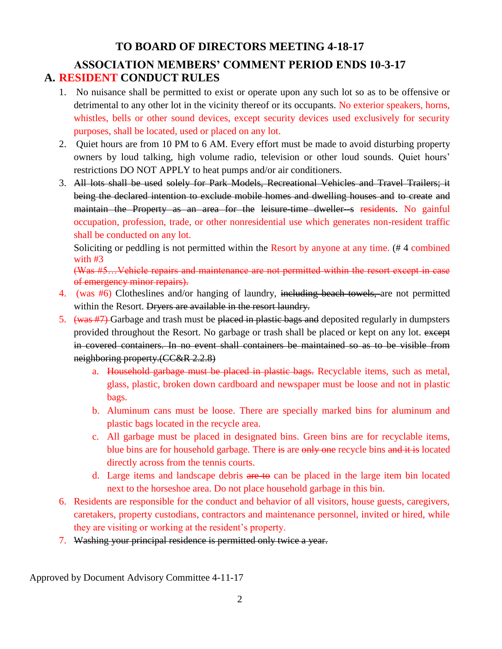#### **TO BOARD OF DIRECTORS MEETING 4-18-17**

#### **ASSOCIATION MEMBERS' COMMENT PERIOD ENDS 10-3-17 A. RESIDENT CONDUCT RULES**

- 1. No nuisance shall be permitted to exist or operate upon any such lot so as to be offensive or detrimental to any other lot in the vicinity thereof or its occupants. No exterior speakers, horns, whistles, bells or other sound devices, except security devices used exclusively for security purposes, shall be located, used or placed on any lot.
- 2. Quiet hours are from 10 PM to 6 AM. Every effort must be made to avoid disturbing property owners by loud talking, high volume radio, television or other loud sounds. Quiet hours' restrictions DO NOT APPLY to heat pumps and/or air conditioners.
- 3. All lots shall be used solely for Park Models, Recreational Vehicles and Travel Trailers; it being the declared intention to exclude mobile homes and dwelling houses and to create and maintain the Property as an area for the leisure-time dweller-s residents. No gainful occupation, profession, trade, or other nonresidential use which generates non-resident traffic shall be conducted on any lot.

Soliciting or peddling is not permitted within the Resort by anyone at any time. (# 4 combined with #3

(Was #5…Vehicle repairs and maintenance are not permitted within the resort except in case of emergency minor repairs).

- 4. (was #6) Clotheslines and/or hanging of laundry, including beach towels, are not permitted within the Resort. Dryers are available in the resort laundry.
- 5. (was #7) Garbage and trash must be placed in plastic bags and deposited regularly in dumpsters provided throughout the Resort. No garbage or trash shall be placed or kept on any lot. except in covered containers. In no event shall containers be maintained so as to be visible from neighboring property.(CC&R 2.2.8)
	- a. Household garbage must be placed in plastic bags. Recyclable items, such as metal, glass, plastic, broken down cardboard and newspaper must be loose and not in plastic bags.
	- b. Aluminum cans must be loose. There are specially marked bins for aluminum and plastic bags located in the recycle area.
	- c. All garbage must be placed in designated bins. Green bins are for recyclable items, blue bins are for household garbage. There is are only one recycle bins and it is located directly across from the tennis courts.
	- d. Large items and landscape debris are to can be placed in the large item bin located next to the horseshoe area. Do not place household garbage in this bin.
- 6. Residents are responsible for the conduct and behavior of all visitors, house guests, caregivers, caretakers, property custodians, contractors and maintenance personnel, invited or hired, while they are visiting or working at the resident's property.
- 7. Washing your principal residence is permitted only twice a year.

Approved by Document Advisory Committee 4-11-17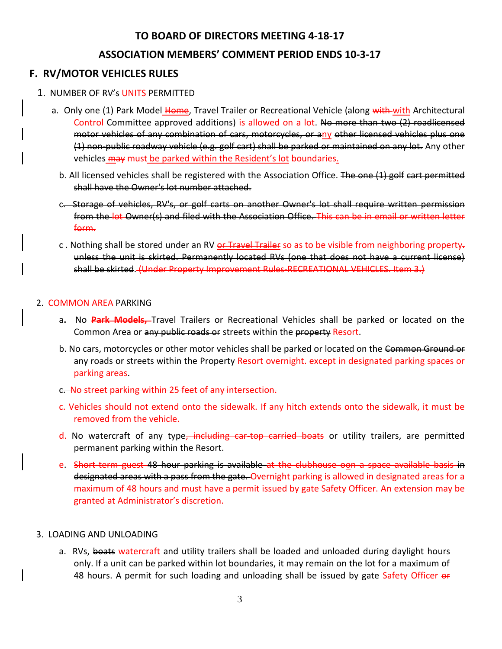#### **TO BOARD OF DIRECTORS MEETING 4-18-17**

#### **ASSOCIATION MEMBERS' COMMENT PERIOD ENDS 10-3-17**

#### **F. RV/MOTOR VEHICLES RULES**

- 1. NUMBER OF RV's UNITS PERMITTED
	- a. Only one (1) Park Model Home, Travel Trailer or Recreational Vehicle (along with with Architectural Control Committee approved additions) is allowed on a lot. No more than two (2) roadlicensed motor vehicles of any combination of cars, motorcycles, or any other licensed vehicles plus one (1) non-public roadway vehicle (e.g. golf cart) shall be parked or maintained on any lot. Any other vehicles may must be parked within the Resident's lot boundaries.
		- b. All licensed vehicles shall be registered with the Association Office. The one (1) golf cart permitted shall have the Owner's lot number attached.
		- c. Storage of vehicles, RV's, or golf carts on another Owner's lot shall require written permission from the lot Owner(s) and filed with the Association Office. This can be in email or written letter form.
		- c. Nothing shall be stored under an RV or Travel Trailer so as to be visible from neighboring property. unless the unit is skirted. Permanently located RVs (one that does not have a current license) shall be skirted. (Under Property Improvement Rules-RECREATIONAL VEHICLES. Item 3.)

#### 2. COMMON AREA PARKING

- a**.** No **Park Models,** Travel Trailers or Recreational Vehicles shall be parked or located on the Common Area or any public roads or streets within the property Resort.
- b. No cars, motorcycles or other motor vehicles shall be parked or located on the Common Ground or any roads or streets within the Property Resort overnight. except in designated parking spaces or parking areas.
- c. No street parking within 25 feet of any intersection.
- c. Vehicles should not extend onto the sidewalk. If any hitch extends onto the sidewalk, it must be removed from the vehicle.
- d. No watercraft of any type, including car-top carried boats or utility trailers, are permitted permanent parking within the Resort.
- e. Short-term guest 48 hour parking is available at the clubhouse oon a space available basis in designated areas with a pass from the gate. Overnight parking is allowed in designated areas for a maximum of 48 hours and must have a permit issued by gate Safety Officer. An extension may be granted at Administrator's discretion.

#### 3. LOADING AND UNLOADING

a. RVs, boats watercraft and utility trailers shall be loaded and unloaded during daylight hours only. If a unit can be parked within lot boundaries, it may remain on the lot for a maximum of 48 hours. A permit for such loading and unloading shall be issued by gate Safety Officer or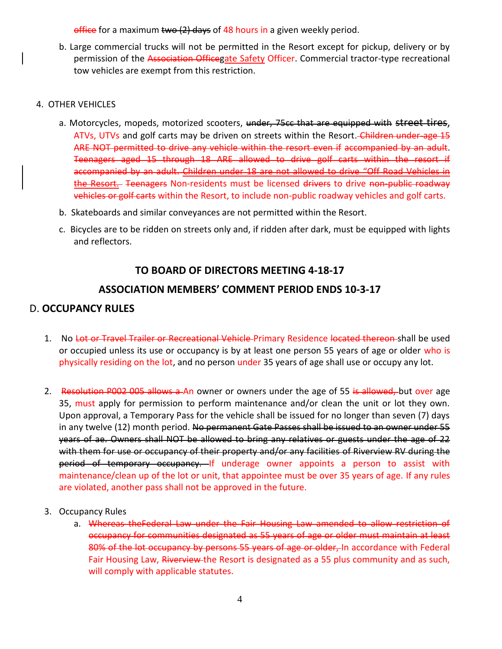$office$  for a maximum two  $(2)$  days of 48 hours in a given weekly period.

b. Large commercial trucks will not be permitted in the Resort except for pickup, delivery or by permission of the Association Officegate Safety Officer. Commercial tractor-type recreational tow vehicles are exempt from this restriction.

#### 4. OTHER VEHICLES

- a. Motorcycles, mopeds, motorized scooters, under, 75cc that are equipped with street tires, ATVs, UTVs and golf carts may be driven on streets within the Resort. Children under age 15 ARE NOT permitted to drive any vehicle within the resort even if accompanied by an adult. Teenagers aged 15 through 18 ARE allowed to drive golf carts within the resort if accompanied by an adult. Children under 18 are not allowed to drive "Off Road Vehicles in the Resort. Teenagers Non-residents must be licensed drivers to drive non-public roadway vehicles or golf carts within the Resort, to include non-public roadway vehicles and golf carts.
- b. Skateboards and similar conveyances are not permitted within the Resort.
- c. Bicycles are to be ridden on streets only and, if ridden after dark, must be equipped with lights and reflectors.

#### **TO BOARD OF DIRECTORS MEETING 4-18-17**

#### **ASSOCIATION MEMBERS' COMMENT PERIOD ENDS 10-3-17**

#### D. **OCCUPANCY RULES**

- 1. No Lot or Travel Trailer or Recreational Vehicle-Primary Residence located thereon-shall be used or occupied unless its use or occupancy is by at least one person 55 years of age or older who is physically residing on the lot, and no person under 35 years of age shall use or occupy any lot.
- 2. Resolution P002 005 allows a An owner or owners under the age of 55 is allowed, but over age 35, must apply for permission to perform maintenance and/or clean the unit or lot they own. Upon approval, a Temporary Pass for the vehicle shall be issued for no longer than seven (7) days in any twelve (12) month period. No permanent Gate Passes shall be issued to an owner under 55 years of ae. Owners shall NOT be allowed to bring any relatives or guests under the age of 22 with them for use or occupancy of their property and/or any facilities of Riverview RV during the period of temporary occupancy. If underage owner appoints a person to assist with maintenance/clean up of the lot or unit, that appointee must be over 35 years of age. If any rules are violated, another pass shall not be approved in the future.
- 3. Occupancy Rules
	- a. Whereas theFederal Law under the Fair Housing Law amended to allow restriction of occupancy for communities designated as 55 years of age or older must maintain at least 80% of the lot occupancy by persons 55 years of age or older, In accordance with Federal Fair Housing Law, Riverview-the Resort is designated as a 55 plus community and as such, will comply with applicable statutes.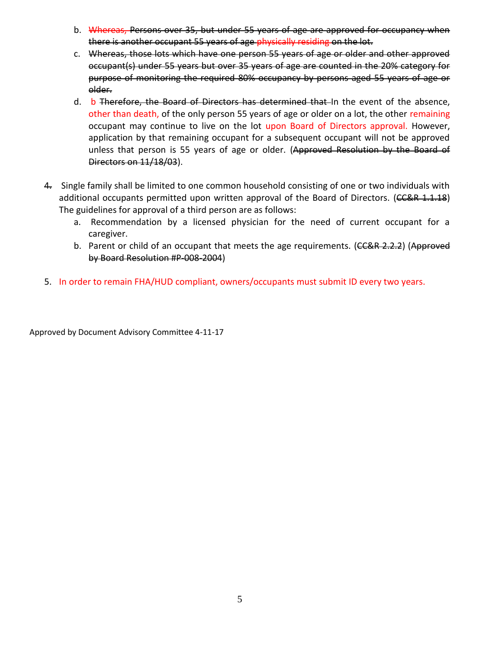- b. Whereas, Persons over 35, but under 55 years of age are approved for occupancy when there is another occupant 55 years of age physically residing on the lot.
- c. Whereas, those lots which have one person 55 years of age or older and other approved occupant(s) under 55 years but over 35 years of age are counted in the 20% category for purpose of monitoring the required 80% occupancy by persons aged 55 years of age or older.
- d. b Therefore, the Board of Directors has determined that In the event of the absence, other than death, of the only person 55 years of age or older on a lot, the other remaining occupant may continue to live on the lot upon Board of Directors approval. However, application by that remaining occupant for a subsequent occupant will not be approved unless that person is 55 years of age or older. (Approved Resolution by the Board of Directors on 11/18/03).
- 4. Single family shall be limited to one common household consisting of one or two individuals with additional occupants permitted upon written approval of the Board of Directors. (CC&R 1.1.18) The guidelines for approval of a third person are as follows:
	- a. Recommendation by a licensed physician for the need of current occupant for a caregiver.
	- b. Parent or child of an occupant that meets the age requirements. (CC&R 2.2.2) (Approved by Board Resolution #P-008-2004)
- 5. In order to remain FHA/HUD compliant, owners/occupants must submit ID every two years.

Approved by Document Advisory Committee 4-11-17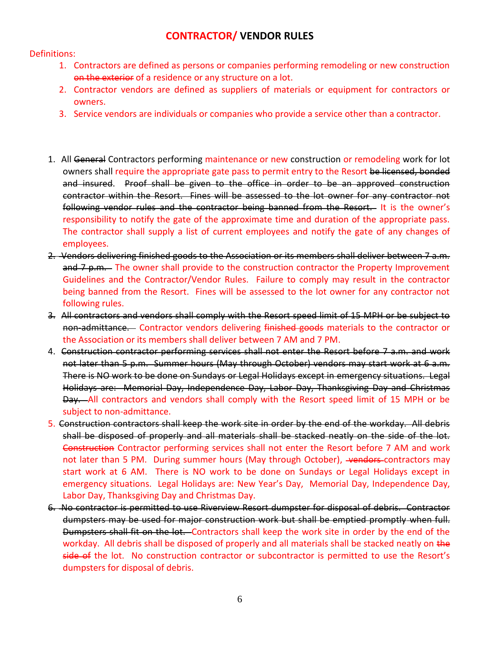#### **CONTRACTOR/ VENDOR RULES**

#### Definitions:

- 1. Contractors are defined as persons or companies performing remodeling or new construction on the exterior of a residence or any structure on a lot.
- 2. Contractor vendors are defined as suppliers of materials or equipment for contractors or owners.
- 3. Service vendors are individuals or companies who provide a service other than a contractor.
- 1. All General Contractors performing maintenance or new construction or remodeling work for lot owners shall require the appropriate gate pass to permit entry to the Resort be licensed, bonded and insured. Proof shall be given to the office in order to be an approved construction contractor within the Resort. Fines will be assessed to the lot owner for any contractor not following vendor rules and the contractor being banned from the Resort. It is the owner's responsibility to notify the gate of the approximate time and duration of the appropriate pass. The contractor shall supply a list of current employees and notify the gate of any changes of employees.
- 2. Vendors delivering finished goods to the Association or its members shall deliver between 7 a.m. and 7 p.m. The owner shall provide to the construction contractor the Property Improvement Guidelines and the Contractor/Vendor Rules. Failure to comply may result in the contractor being banned from the Resort. Fines will be assessed to the lot owner for any contractor not following rules.
- 3. All contractors and vendors shall comply with the Resort speed limit of 15 MPH or be subject to non-admittance. Contractor vendors delivering finished goods materials to the contractor or the Association or its members shall deliver between 7 AM and 7 PM.
- 4. Construction contractor performing services shall not enter the Resort before 7 a.m. and work not later than 5 p.m. Summer hours (May through October) vendors may start work at 6 a.m. There is NO work to be done on Sundays or Legal Holidays except in emergency situations. Legal Holidays are: Memorial Day, Independence Day, Labor Day, Thanksgiving Day and Christmas Day. All contractors and vendors shall comply with the Resort speed limit of 15 MPH or be subject to non-admittance.
- 5. Construction contractors shall keep the work site in order by the end of the workday. All debris shall be disposed of properly and all materials shall be stacked neatly on the side of the lot. Construction Contractor performing services shall not enter the Resort before 7 AM and work not later than 5 PM. During summer hours (May through October), vendors-contractors may start work at 6 AM. There is NO work to be done on Sundays or Legal Holidays except in emergency situations. Legal Holidays are: New Year's Day, Memorial Day, Independence Day, Labor Day, Thanksgiving Day and Christmas Day.
- 6. No contractor is permitted to use Riverview Resort dumpster for disposal of debris. Contractor dumpsters may be used for major construction work but shall be emptied promptly when full. Dumpsters shall fit on the lot. Contractors shall keep the work site in order by the end of the workday. All debris shall be disposed of properly and all materials shall be stacked neatly on the side of the lot. No construction contractor or subcontractor is permitted to use the Resort's dumpsters for disposal of debris.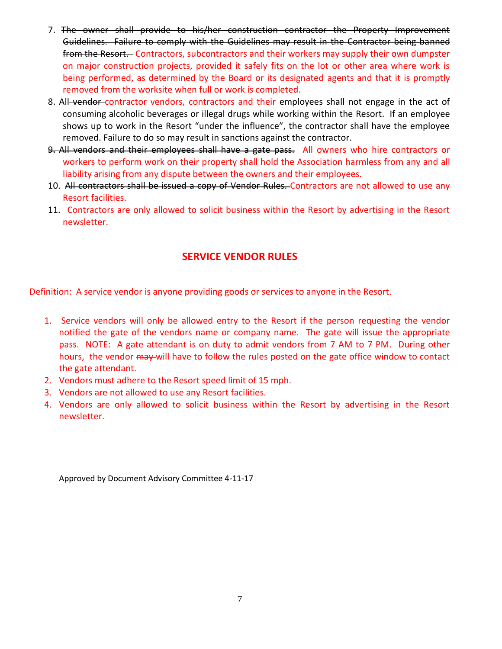- 7. The owner shall provide to his/her construction contractor the Property Improvement Guidelines. Failure to comply with the Guidelines may result in the Contractor being banned from the Resort. Contractors, subcontractors and their workers may supply their own dumpster on major construction projects, provided it safely fits on the lot or other area where work is being performed, as determined by the Board or its designated agents and that it is promptly removed from the worksite when full or work is completed.
- 8. All-vendor-contractor vendors, contractors and their employees shall not engage in the act of consuming alcoholic beverages or illegal drugs while working within the Resort. If an employee shows up to work in the Resort "under the influence", the contractor shall have the employee removed. Failure to do so may result in sanctions against the contractor.
- 9. All vendors and their employees shall have a gate pass. All owners who hire contractors or workers to perform work on their property shall hold the Association harmless from any and all liability arising from any dispute between the owners and their employees.
- 10. All contractors shall be issued a copy of Vendor Rules. Contractors are not allowed to use any Resort facilities.
- 11. Contractors are only allowed to solicit business within the Resort by advertising in the Resort newsletter.

#### **SERVICE VENDOR RULES**

Definition: A service vendor is anyone providing goods or services to anyone in the Resort.

- 1. Service vendors will only be allowed entry to the Resort if the person requesting the vendor notified the gate of the vendors name or company name. The gate will issue the appropriate pass. NOTE: A gate attendant is on duty to admit vendors from 7 AM to 7 PM. During other hours, the vendor  $\frac{m}{2}$  will have to follow the rules posted on the gate office window to contact the gate attendant.
- 2. Vendors must adhere to the Resort speed limit of 15 mph.
- 3. Vendors are not allowed to use any Resort facilities.
- 4. Vendors are only allowed to solicit business within the Resort by advertising in the Resort newsletter.

Approved by Document Advisory Committee 4-11-17